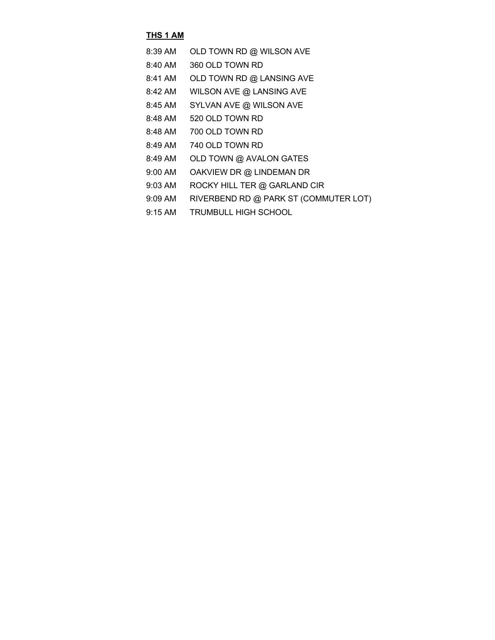#### **THS 1 AM**

| 8:39 AM | OLD TOWN RD @ WILSON AVE |
|---------|--------------------------|
|         |                          |

- 8:40 AM 360 OLD TOWN RD
- 8:41 AM OLD TOWN RD @ LANSING AVE
- 8:42 AM WILSON AVE @ LANSING AVE
- 8:45 AM SYLVAN AVE @ WILSON AVE
- 8:48 AM 520 OLD TOWN RD
- 8:48 AM 700 OLD TOWN RD
- 8:49 AM 740 OLD TOWN RD
- 8:49 AM OLD TOWN @ AVALON GATES
- 9:00 AM OAKVIEW DR @ LINDEMAN DR
- 9:03 AM ROCKY HILL TER @ GARLAND CIR
- 9:09 AM RIVERBEND RD @ PARK ST (COMMUTER LOT)
- 9:15 AM TRUMBULL HIGH SCHOOL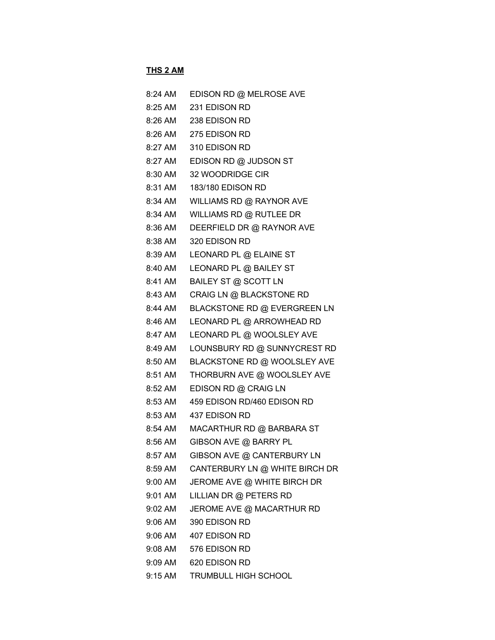## **THS 2 AM**

| 8:24 AM | EDISON RD @ MELROSE AVE                |
|---------|----------------------------------------|
| 8:25 AM | 231 EDISON RD                          |
|         | 8:26 AM 238 EDISON RD                  |
|         | 8:26 AM 275 EDISON RD                  |
|         | 8:27 AM 310 EDISON RD                  |
| 8:27 AM | EDISON RD @ JUDSON ST                  |
| 8:30 AM | 32 WOODRIDGE CIR                       |
| 8:31 AM | 183/180 EDISON RD                      |
| 8:34 AM | WILLIAMS RD @ RAYNOR AVE               |
| 8:34 AM | WILLIAMS RD @ RUTLEE DR                |
| 8:36 AM | DEERFIELD DR @ RAYNOR AVE              |
| 8:38 AM | 320 EDISON RD                          |
| 8:39 AM | LEONARD PL @ ELAINE ST                 |
| 8:40 AM | LEONARD PL @ BAILEY ST                 |
| 8:41 AM | BAILEY ST @ SCOTT LN                   |
| 8:43 AM | CRAIG LN @ BLACKSTONE RD               |
| 8:44 AM | BLACKSTONE RD @ EVERGREEN LN           |
| 8:46 AM | LEONARD PL @ ARROWHEAD RD              |
| 8:47 AM | LEONARD PL @ WOOLSLEY AVE              |
| 8:49 AM | LOUNSBURY RD @ SUNNYCREST RD           |
| 8:50 AM | BLACKSTONE RD @ WOOLSLEY AVE           |
| 8:51 AM | THORBURN AVE @ WOOLSLEY AVE            |
| 8:52 AM | EDISON RD @ CRAIG LN                   |
| 8:53 AM | 459 EDISON RD/460 EDISON RD            |
|         | 8:53 AM 437 EDISON RD                  |
| 8:54 AM | MACARTHUR RD @ BARBARA ST              |
| 8:56 AM | GIBSON AVE @ BARRY PL                  |
| 8:57 AM | GIBSON AVE @ CANTERBURY LN             |
|         | 8:59 AM CANTERBURY LN @ WHITE BIRCH DR |
|         | 9:00 AM JEROME AVE @ WHITE BIRCH DR    |
| 9:01 AM | LILLIAN DR @ PETERS RD                 |
|         | 9:02 AM JEROME AVE @ MACARTHUR RD      |
|         | 9:06 AM 390 EDISON RD                  |
|         | 9:06 AM 407 EDISON RD                  |
|         | 9:08 AM 576 EDISON RD                  |
|         | 9:09 AM 620 EDISON RD                  |
|         | 9:15 AM TRUMBULL HIGH SCHOOL           |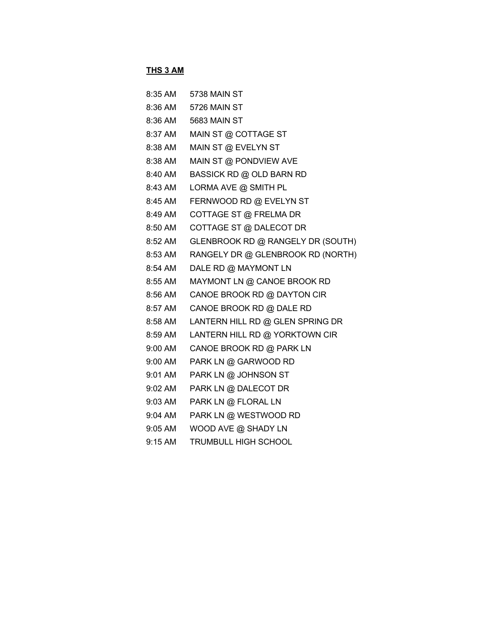#### **THS 3 AM**

| 8:35 AM   | 5738 MAIN ST                      |
|-----------|-----------------------------------|
| 8:36 AM   | 5726 MAIN ST                      |
| 8:36 AM   | <b>5683 MAIN ST</b>               |
| 8:37 AM   | MAIN ST @ COTTAGE ST              |
| 8:38 AM   | MAIN ST @ EVELYN ST               |
| 8:38 AM   | MAIN ST @ PONDVIEW AVE            |
| 8:40 AM   | BASSICK RD @ OLD BARN RD          |
| 8:43 AM   | LORMA AVE @ SMITH PL              |
| 8:45 AM   | FERNWOOD RD @ EVELYN ST           |
| 8:49 AM   | COTTAGE ST @ FRELMA DR            |
| 8:50 AM   | COTTAGE ST @ DALECOT DR           |
| 8:52 AM   | GLENBROOK RD @ RANGELY DR (SOUTH) |
| 8:53 AM   | RANGELY DR @ GLENBROOK RD (NORTH) |
| 8:54 AM   | DALE RD @ MAYMONT LN              |
| 8:55 AM   | MAYMONT LN @ CANOE BROOK RD       |
| 8:56 AM   | CANOE BROOK RD @ DAYTON CIR       |
| 8:57 AM   | CANOE BROOK RD @ DALE RD          |
| 8:58 AM   | LANTERN HILL RD @ GLEN SPRING DR  |
| 8:59 AM   | LANTERN HILL RD @ YORKTOWN CIR    |
| 9:00 AM   | CANOE BROOK RD @ PARK LN          |
| $9:00$ AM | PARK LN @ GARWOOD RD              |
| 9:01 AM   | PARK LN @ JOHNSON ST              |
| 9:02 AM   | PARK LN @ DALECOT DR              |
| 9:03 AM   | PARK LN @ FLORAL LN               |
| 9:04 AM   | PARK LN @ WESTWOOD RD             |
| $9:05$ AM | WOOD AVE @ SHADY LN               |
| 9:15 AM   | TRUMBULL HIGH SCHOOL              |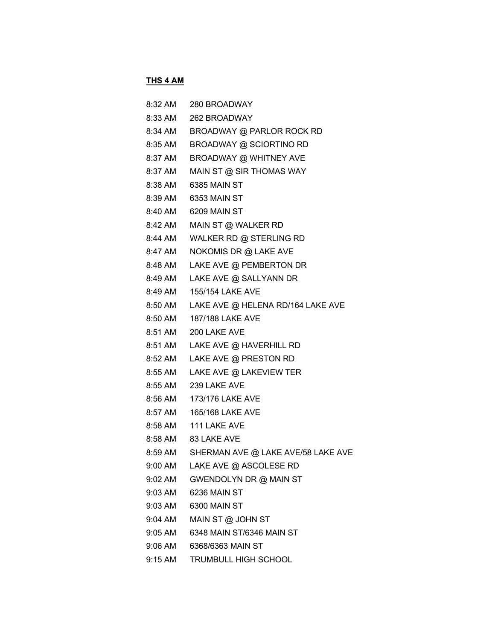# **THS 4 AM**

| 8:32 AM | 280 BROADWAY                       |
|---------|------------------------------------|
| 8:33 AM | 262 BROADWAY                       |
| 8:34 AM | BROADWAY @ PARLOR ROCK RD          |
| 8:35 AM | BROADWAY @ SCIORTINO RD            |
| 8:37 AM | BROADWAY @ WHITNEY AVE             |
| 8:37 AM | MAIN ST @ SIR THOMAS WAY           |
| 8:38 AM | 6385 MAIN ST                       |
| 8:39 AM | 6353 MAIN ST                       |
| 8:40 AM | 6209 MAIN ST                       |
| 8:42 AM | MAIN ST @ WALKER RD                |
| 8:44 AM | WALKER RD @ STERLING RD            |
| 8:47 AM | NOKOMIS DR @ LAKE AVE              |
| 8:48 AM | LAKE AVE @ PEMBERTON DR            |
| 8:49 AM | LAKE AVE @ SALLYANN DR             |
| 8:49 AM | 155/154 LAKE AVE                   |
| 8:50 AM | LAKE AVE @ HELENA RD/164 LAKE AVE  |
| 8:50 AM | 187/188 LAKE AVE                   |
| 8:51 AM | 200 LAKE AVE                       |
| 8:51 AM | LAKE AVE @ HAVERHILL RD            |
| 8:52 AM | LAKE AVE @ PRESTON RD              |
| 8:55 AM | LAKE AVE @ LAKEVIEW TER            |
|         | 8:55 AM 239 LAKE AVE               |
| 8:56 AM | 173/176 LAKE AVE                   |
| 8:57 AM | 165/168 LAKE AVE                   |
| 8:58 AM | 111 LAKE AVE                       |
|         | 8:58 AM 83 LAKE AVE                |
| 8:59 AM | SHERMAN AVE @ LAKE AVE/58 LAKE AVE |
| 9:00 AM | LAKE AVE @ ASCOLESE RD             |
| 9:02 AM | GWENDOLYN DR @ MAIN ST             |
| 9:03 AM | 6236 MAIN ST                       |
| 9:03 AM | 6300 MAIN ST                       |
| 9:04 AM | MAIN ST @ JOHN ST                  |
| 9:05 AM | 6348 MAIN ST/6346 MAIN ST          |
| 9:06 AM | 6368/6363 MAIN ST                  |
| 9:15 AM | TRUMBULL HIGH SCHOOL               |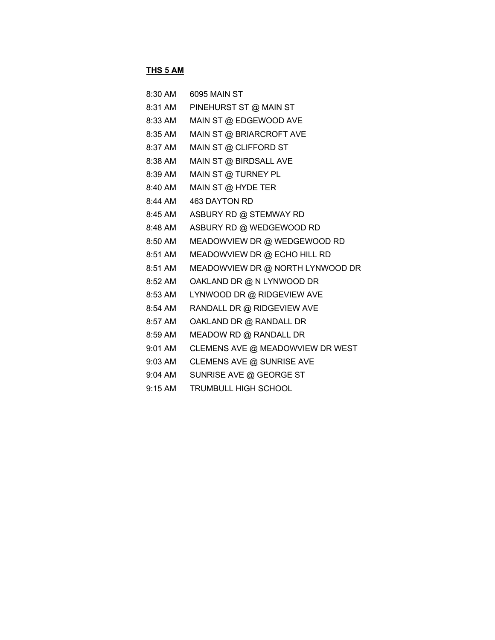#### **THS 5 AM**

| 8:30 AM | <b>6095 MAIN ST</b>              |
|---------|----------------------------------|
| 8:31 AM | PINEHURST ST @ MAIN ST           |
| 8:33 AM | MAIN ST @ EDGEWOOD AVE           |
| 8:35 AM | MAIN ST @ BRIARCROFT AVE         |
| 8:37 AM | MAIN ST @ CLIFFORD ST            |
| 8:38 AM | MAIN ST @ BIRDSALL AVE           |
| 8:39 AM | MAIN ST @ TURNEY PL              |
| 8:40 AM | MAIN ST @ HYDE TER               |
| 8:44 AM | <b>463 DAYTON RD</b>             |
| 8:45 AM | ASBURY RD @ STEMWAY RD           |
| 8:48 AM | ASBURY RD @ WEDGEWOOD RD         |
| 8:50 AM | MEADOWVIEW DR @ WEDGEWOOD RD     |
| 8:51 AM | MEADOWVIEW DR @ ECHO HILL RD     |
| 8:51 AM | MEADOWVIEW DR @ NORTH LYNWOOD DR |
| 8:52 AM | OAKLAND DR @ N LYNWOOD DR        |
| 8:53 AM | LYNWOOD DR @ RIDGEVIEW AVE       |
| 8:54 AM | RANDALL DR @ RIDGEVIEW AVE       |
| 8:57 AM | OAKLAND DR @ RANDALL DR          |
| 8:59 AM | MEADOW RD @ RANDALL DR           |
| 9:01 AM | CLEMENS AVE @ MEADOWVIEW DR WEST |
| 9:03 AM | CLEMENS AVE @ SUNRISE AVE        |
| 9:04 AM | SUNRISE AVE @ GEORGE ST          |
| 9:15 AM | TRUMBULL HIGH SCHOOL             |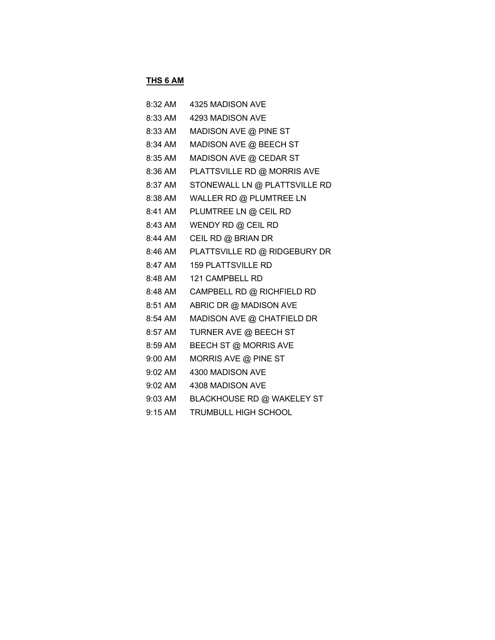#### **THS 6 AM**

| 8:32 AM | 4325 MADISON AVE              |
|---------|-------------------------------|
| 8:33 AM | 4293 MADISON AVE              |
| 8:33 AM | MADISON AVE @ PINE ST         |
| 8:34 AM | MADISON AVE @ BEECH ST        |
| 8:35 AM | MADISON AVE @ CEDAR ST        |
| 8:36 AM | PLATTSVILLE RD @ MORRIS AVE   |
| 8:37 AM | STONEWALL LN @ PLATTSVILLE RD |
| 8:38 AM | WALLER RD @ PLUMTREE LN       |
| 8:41 AM | PLUMTREE LN @ CEIL RD         |
| 8:43 AM | WENDY RD @ CEIL RD            |
| 8:44 AM | CEIL RD @ BRIAN DR            |
| 8:46 AM | PLATTSVILLE RD @ RIDGEBURY DR |
| 8:47 AM | <b>159 PLATTSVILLE RD</b>     |
| 8:48 AM | 121 CAMPBELL RD               |
| 8:48 AM | CAMPBELL RD @ RICHFIELD RD    |
| 8:51 AM | ABRIC DR @ MADISON AVE        |
| 8:54 AM | MADISON AVE @ CHATFIELD DR    |
| 8:57 AM | TURNER AVE @ BEECH ST         |
| 8:59 AM | <b>BEECH ST @ MORRIS AVE</b>  |
| 9:00 AM | MORRIS AVE @ PINE ST          |
| 9:02 AM | 4300 MADISON AVE              |
| 9:02 AM | 4308 MADISON AVE              |
| 9:03 AM | BLACKHOUSE RD @ WAKELEY ST    |
| 9:15 AM | <b>TRUMBULL HIGH SCHOOL</b>   |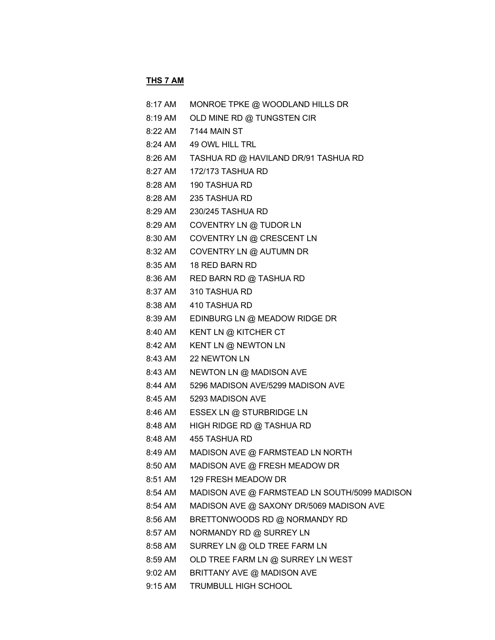# **THS 7 AM**

| 8:17 AM | MONROE TPKE @ WOODLAND HILLS DR               |
|---------|-----------------------------------------------|
| 8:19 AM | OLD MINE RD @ TUNGSTEN CIR                    |
| 8:22 AM | 7144 MAIN ST                                  |
| 8:24 AM | 49 OWL HILL TRL                               |
| 8:26 AM | TASHUA RD @ HAVILAND DR/91 TASHUA RD          |
| 8:27 AM | 172/173 TASHUA RD                             |
| 8:28 AM | 190 TASHUA RD                                 |
| 8:28 AM | 235 TASHUA RD                                 |
| 8:29 AM | 230/245 TASHUA RD                             |
| 8:29 AM | COVENTRY LN @ TUDOR LN                        |
| 8:30 AM | COVENTRY LN @ CRESCENT LN                     |
| 8:32 AM | COVENTRY LN @ AUTUMN DR                       |
| 8:35 AM | 18 RED BARN RD                                |
| 8:36 AM | RED BARN RD @ TASHUA RD                       |
| 8:37 AM | 310 TASHUA RD                                 |
| 8:38 AM | 410 TASHUA RD                                 |
| 8:39 AM | EDINBURG LN @ MEADOW RIDGE DR                 |
| 8:40 AM | KENT LN @ KITCHER CT                          |
| 8:42 AM | KENT LN @ NEWTON LN                           |
| 8:43 AM | 22 NEWTON LN                                  |
| 8:43 AM | NEWTON LN @ MADISON AVE                       |
| 8:44 AM | 5296 MADISON AVE/5299 MADISON AVE             |
| 8:45 AM | 5293 MADISON AVE                              |
| 8:46 AM | ESSEX LN @ STURBRIDGE LN                      |
| 8:48 AM | HIGH RIDGE RD @ TASHUA RD                     |
| 8:48 AM | 455 TASHUA RD                                 |
| 8:49 AM | MADISON AVE @ FARMSTEAD LN NORTH              |
| 8:50 AM | MADISON AVE @ FRESH MEADOW DR                 |
| 8:51 AM | 129 FRESH MEADOW DR                           |
| 8:54 AM | MADISON AVE @ FARMSTEAD LN SOUTH/5099 MADISON |
| 8:54 AM | MADISON AVE @ SAXONY DR/5069 MADISON AVE      |
| 8:56 AM | BRETTONWOODS RD @ NORMANDY RD                 |
| 8:57 AM | NORMANDY RD @ SURREY LN                       |
| 8:58 AM | SURREY LN @ OLD TREE FARM LN                  |
| 8:59 AM | OLD TREE FARM LN @ SURREY LN WEST             |
| 9:02 AM | BRITTANY AVE @ MADISON AVE                    |
| 9:15 AM | TRUMBULL HIGH SCHOOL                          |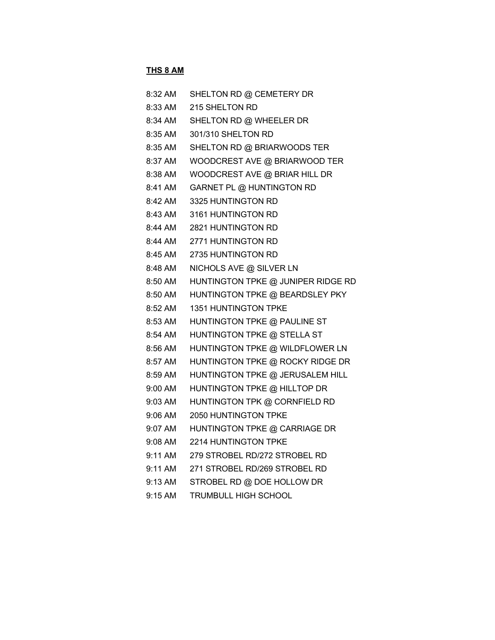## **THS 8 AM**

| 8:32 AM           | SHELTON RD @ CEMETERY DR           |
|-------------------|------------------------------------|
| 8:33 AM           | 215 SHELTON RD                     |
| 8:34 AM           | SHELTON RD @ WHEELER DR            |
| 8:35 AM           | 301/310 SHELTON RD                 |
| 8:35 AM           | SHELTON RD @ BRIARWOODS TER        |
| 8:37 AM           | WOODCREST AVE @ BRIARWOOD TER      |
| 8:38 AM           | WOODCREST AVE @ BRIAR HILL DR      |
| 8:41 AM           | GARNET PL @ HUNTINGTON RD          |
| 8:42 AM           | 3325 HUNTINGTON RD                 |
| 8:43 AM           | 3161 HUNTINGTON RD                 |
| 8:44 AM           | 2821 HUNTINGTON RD                 |
| 8:44 AM           | 2771 HUNTINGTON RD                 |
| 8:45 AM           | 2735 HUNTINGTON RD                 |
| 8:48 AM           | NICHOLS AVE @ SILVER LN            |
| 8:50 AM           | HUNTINGTON TPKE @ JUNIPER RIDGE RD |
| 8:50 AM           | HUNTINGTON TPKE @ BEARDSLEY PKY    |
| 8:52 AM           | 1351 HUNTINGTON TPKE               |
| 8:53 AM           | HUNTINGTON TPKE @ PAULINE ST       |
| 8:54 AM           | HUNTINGTON TPKE @ STELLA ST        |
| 8:56 AM           | HUNTINGTON TPKE @ WILDFLOWER LN    |
| 8:57 AM           | HUNTINGTON TPKE @ ROCKY RIDGE DR   |
| 8:59 AM           | HUNTINGTON TPKE @ JERUSALEM HILL   |
| 9:00 AM           | HUNTINGTON TPKE @ HILLTOP DR       |
| 9:03 AM           | HUNTINGTON TPK @ CORNFIELD RD      |
| 9:06 AM           | 2050 HUNTINGTON TPKE               |
| 9:07 AM           | HUNTINGTON TPKE @ CARRIAGE DR      |
| 9:08 AM           | 2214 HUNTINGTON TPKE               |
| 9:11 AM           | 279 STROBEL RD/272 STROBEL RD      |
| $9:11 \text{ AM}$ | 271 STROBEL RD/269 STROBEL RD      |
| $9:13$ AM         | STROBEL RD @ DOE HOLLOW DR         |
| 9:15 AM           | TRUMBULL HIGH SCHOOL               |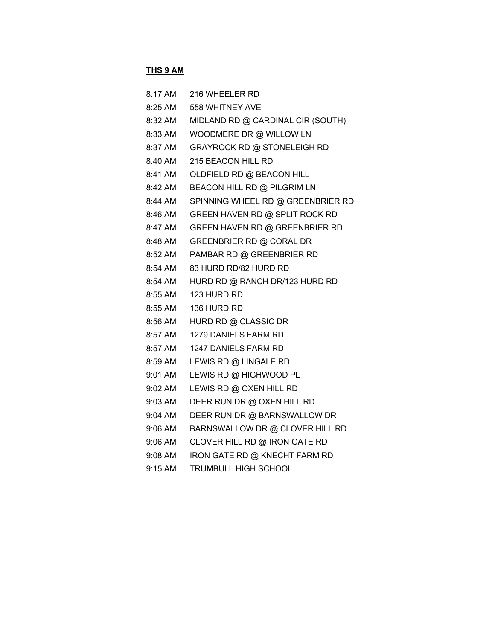#### **THS 9 AM**

| 8:17 AM           | 216 WHEELER RD                    |
|-------------------|-----------------------------------|
| $8:25 \text{ AM}$ | 558 WHITNEY AVE                   |
| 8:32 AM           | MIDLAND RD @ CARDINAL CIR (SOUTH) |
| 8:33 AM           | WOODMERE DR @ WILLOW LN           |
| 8:37 AM           | GRAYROCK RD @ STONELEIGH RD       |
| 8:40 AM           | 215 BEACON HILL RD                |
| 8:41 AM           | OLDFIELD RD @ BEACON HILL         |
| 8:42 AM           | BEACON HILL RD @ PILGRIM LN       |
| 8:44 AM           | SPINNING WHEEL RD @ GREENBRIER RD |
| 8:46 AM           | GREEN HAVEN RD @ SPLIT ROCK RD    |
| 8:47 AM           | GREEN HAVEN RD @ GREENBRIER RD    |
| 8:48 AM           | GREENBRIER RD @ CORAL DR          |
| 8:52 AM           | PAMBAR RD @ GREENBRIER RD         |
| 8:54 AM           | 83 HURD RD/82 HURD RD             |
| 8:54 AM           | HURD RD @ RANCH DR/123 HURD RD    |
| 8:55 AM           | 123 HURD RD                       |
| 8:55 AM           | 136 HURD RD                       |
| 8:56 AM           | HURD RD @ CLASSIC DR              |
| 8:57 AM           | 1279 DANIELS FARM RD              |
| 8:57 AM           | 1247 DANIELS FARM RD              |
| 8:59 AM           | LEWIS RD @ LINGALE RD             |
| 9:01 AM           | LEWIS RD @ HIGHWOOD PL            |
| 9:02 AM           | LEWIS RD @ OXEN HILL RD           |
| 9:03 AM           | DEER RUN DR @ OXEN HILL RD        |
| 9:04 AM           | DEER RUN DR @ BARNSWALLOW DR      |
| 9:06 AM           | BARNSWALLOW DR @ CLOVER HILL RD   |
| 9:06 AM           | CLOVER HILL RD @ IRON GATE RD     |
| 9:08 AM           | IRON GATE RD @ KNECHT FARM RD     |
| 9:15 AM           | TRUMBULL HIGH SCHOOL              |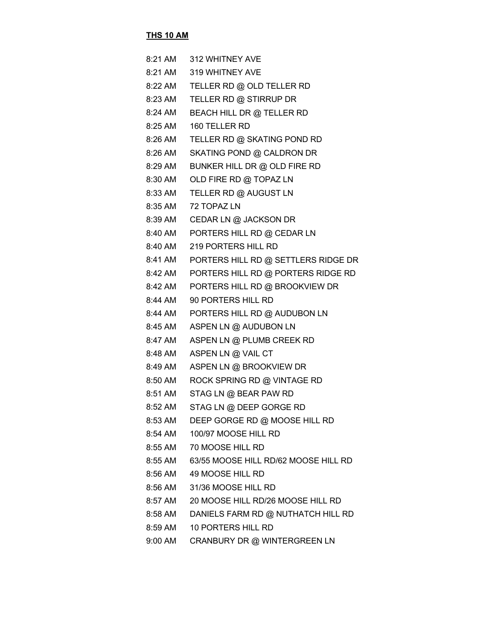#### **THS 10 AM**

| 8:21 AM | 312 WHITNEY AVE                      |
|---------|--------------------------------------|
| 8:21 AM | 319 WHITNEY AVE                      |
| 8:22 AM | TELLER RD @ OLD TELLER RD            |
| 8:23 AM | TELLER RD @ STIRRUP DR               |
| 8:24 AM | <b>BEACH HILL DR @ TELLER RD</b>     |
| 8:25 AM | 160 TELLER RD                        |
| 8:26 AM | TELLER RD @ SKATING POND RD          |
| 8:26 AM | SKATING POND @ CALDRON DR            |
| 8:29 AM | BUNKER HILL DR @ OLD FIRE RD         |
| 8:30 AM | OLD FIRE RD @ TOPAZ LN               |
| 8:33 AM | TELLER RD @ AUGUST LN                |
| 8:35 AM | 72 TOPAZ LN                          |
| 8:39 AM | CEDAR LN @ JACKSON DR                |
| 8:40 AM | PORTERS HILL RD @ CEDAR LN           |
| 8:40 AM | 219 PORTERS HILL RD                  |
| 8:41 AM | PORTERS HILL RD @ SETTLERS RIDGE DR  |
| 8:42 AM | PORTERS HILL RD @ PORTERS RIDGE RD   |
| 8:42 AM | PORTERS HILL RD @ BROOKVIEW DR       |
| 8:44 AM | 90 PORTERS HILL RD                   |
| 8:44 AM | PORTERS HILL RD @ AUDUBON LN         |
| 8:45 AM | ASPEN LN @ AUDUBON LN                |
| 8:47 AM | ASPEN LN @ PLUMB CREEK RD            |
| 8:48 AM | ASPEN LN @ VAIL CT                   |
| 8:49 AM | ASPEN LN @ BROOKVIEW DR              |
| 8:50 AM | ROCK SPRING RD @ VINTAGE RD          |
| 8:51 AM | STAG LN @ BEAR PAW RD                |
| 8:52 AM | STAG LN @ DEEP GORGE RD              |
| 8:53 AM | DEEP GORGE RD @ MOOSE HILL RD        |
| 8:54 AM | 100/97 MOOSE HILL RD                 |
| 8:55 AM | 70 MOOSE HILL RD                     |
| 8:55 AM | 63/55 MOOSE HILL RD/62 MOOSE HILL RD |
| 8:56 AM | 49 MOOSE HILL RD                     |
| 8:56 AM | 31/36 MOOSE HILL RD                  |
| 8:57 AM | 20 MOOSE HILL RD/26 MOOSE HILL RD    |
| 8:58 AM | DANIELS FARM RD @ NUTHATCH HILL RD   |
| 8:59 AM | 10 PORTERS HILL RD                   |
| 9:00 AM | CRANBURY DR @ WINTERGREEN LN         |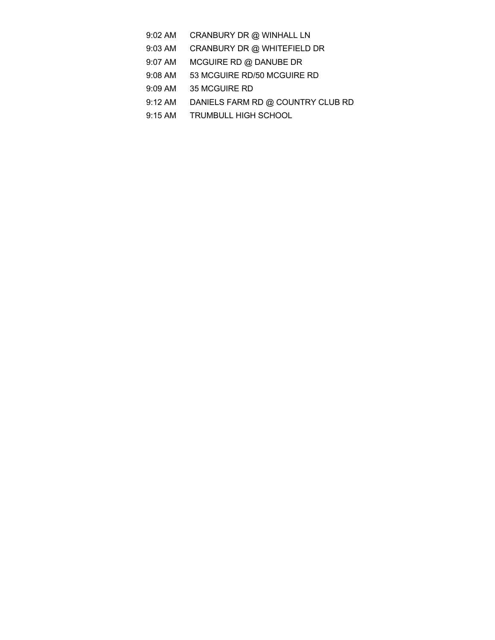- 9:02 AM CRANBURY DR @ WINHALL LN
- 9:03 AM CRANBURY DR @ WHITEFIELD DR
- 9:07 AM MCGUIRE RD @ DANUBE DR
- 9:08 AM 53 MCGUIRE RD/50 MCGUIRE RD
- 9:09 AM 35 MCGUIRE RD
- 9:12 AM DANIELS FARM RD @ COUNTRY CLUB RD
- 9:15 AM TRUMBULL HIGH SCHOOL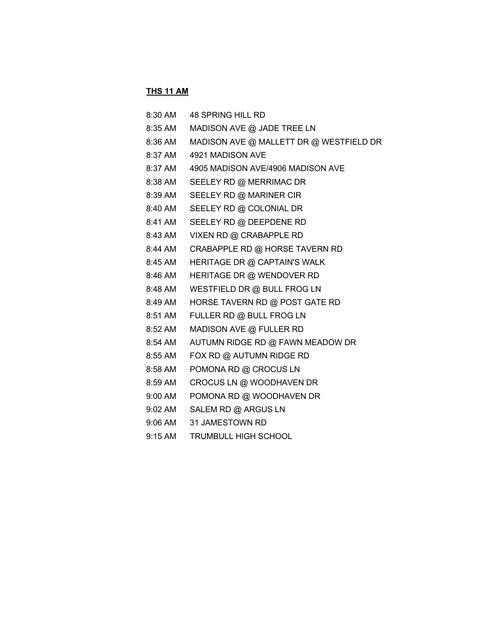#### **THS 11 AM**

| 8:30 AM | 48 SPRING HILL RD                       |
|---------|-----------------------------------------|
| 8:35 AM | MADISON AVE @ JADE TREE LN              |
| 8:36 AM | MADISON AVE @ MALLETT DR @ WESTFIELD DR |
| 8:37 AM | 4921 MADISON AVE                        |
| 8:37 AM | 4905 MADISON AVE/4906 MADISON AVE       |
| 8:38 AM | SEELEY RD @ MERRIMAC DR                 |
| 8:39 AM | SEELEY RD @ MARINER CIR                 |
| 8:40 AM | SEELEY RD @ COLONIAL DR                 |
| 8:41 AM | SEELEY RD @ DEEPDENE RD                 |
| 8:43 AM | VIXEN RD @ CRABAPPLE RD                 |
|         | 8:44 AM CRABAPPLE RD @ HORSE TAVERN RD  |
| 8:45 AM | HERITAGE DR @ CAPTAIN'S WALK            |
| 8:46 AM | HERITAGE DR @ WENDOVER RD               |
| 8:48 AM | WESTFIELD DR @ BULL FROG LN             |
| 8:49 AM | HORSE TAVERN RD @ POST GATE RD          |
| 8:51 AM | FULLER RD @ BULL FROG LN                |
| 8:52 AM | MADISON AVE @ FULLER RD                 |
| 8:54 AM | AUTUMN RIDGE RD @ FAWN MEADOW DR        |
| 8:55 AM | FOX RD @ AUTUMN RIDGE RD                |
| 8:58 AM | POMONA RD @ CROCUS LN                   |
| 8:59 AM | CROCUS LN @ WOODHAVEN DR                |
| 9:00 AM | POMONA RD @ WOODHAVEN DR                |
| 9:02 AM | SALEM RD @ ARGUS LN                     |
| 9:06 AM | 31 JAMESTOWN RD                         |

9:15 AM TRUMBULL HIGH SCHOOL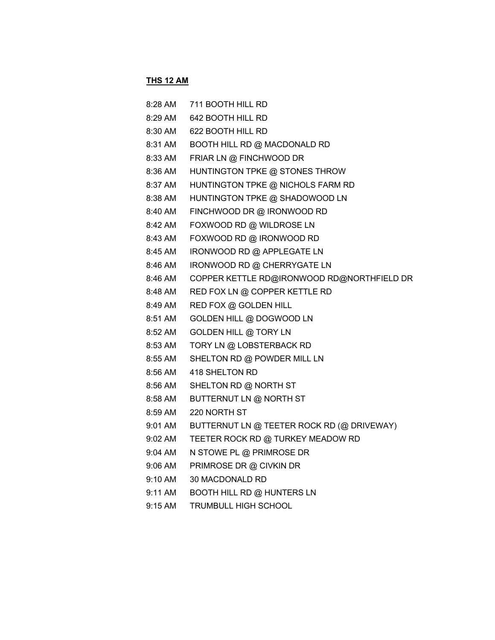#### **THS 12 AM**

| 8:28 AM           | 711 BOOTH HILL RD                          |
|-------------------|--------------------------------------------|
| 8:29 AM           | 642 BOOTH HILL RD                          |
| $8:30$ AM         | 622 BOOTH HILL RD                          |
| 8:31 AM           | BOOTH HILL RD @ MACDONALD RD               |
| 8:33 AM           | FRIAR LN @ FINCHWOOD DR                    |
| 8:36 AM           | HUNTINGTON TPKE @ STONES THROW             |
| 8:37 AM           | HUNTINGTON TPKE @ NICHOLS FARM RD          |
| 8:38 AM           | HUNTINGTON TPKE @ SHADOWOOD LN             |
| 8:40 AM           | FINCHWOOD DR @ IRONWOOD RD                 |
| 8:42 AM           | FOXWOOD RD @ WILDROSE LN                   |
| 8:43 AM           | FOXWOOD RD @ IRONWOOD RD                   |
| 8:45 AM           | IRONWOOD RD @ APPLEGATE LN                 |
| 8:46 AM           | IRONWOOD RD @ CHERRYGATE LN                |
| 8:46 AM           | COPPER KETTLE RD@IRONWOOD RD@NORTHFIELD DR |
| 8:48 AM           | RED FOX LN @ COPPER KETTLE RD              |
| 8:49 AM           | RED FOX @ GOLDEN HILL                      |
| 8:51 AM           | GOLDEN HILL @ DOGWOOD LN                   |
| 8:52 AM           | GOLDEN HILL @ TORY LN                      |
| 8:53 AM           | TORY LN @ LOBSTERBACK RD                   |
| 8:55 AM           | SHELTON RD @ POWDER MILL LN                |
| $8:56$ AM         | 418 SHELTON RD                             |
| $8:56$ AM         | SHELTON RD @ NORTH ST                      |
| 8:58 AM           | BUTTERNUT LN @ NORTH ST                    |
| 8:59 AM           | 220 NORTH ST                               |
| $9:01$ AM         | BUTTERNUT LN @ TEETER ROCK RD (@ DRIVEWAY) |
| 9:02 AM           | TEETER ROCK RD @ TURKEY MEADOW RD          |
| $9:04$ AM         | N STOWE PL @ PRIMROSE DR                   |
| $9:06$ AM         | PRIMROSE DR @ CIVKIN DR                    |
| $9:10 \text{ AM}$ | 30 MACDONALD RD                            |
| $9:11 \text{ AM}$ | <b>BOOTH HILL RD @ HUNTERS LN</b>          |
| 9:15 AM           | <b>TRUMBULL HIGH SCHOOL</b>                |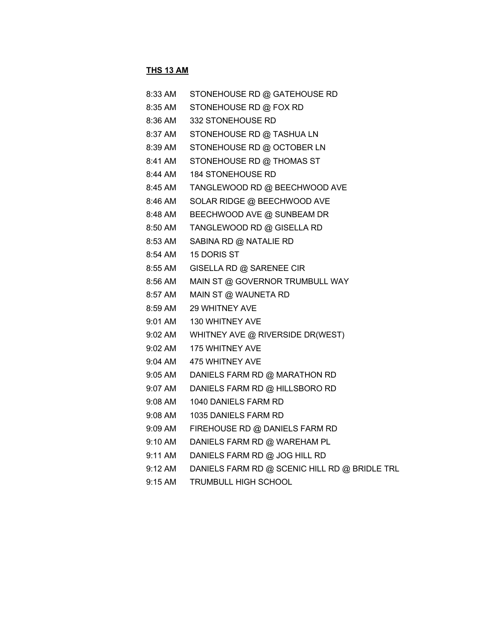## **THS 13 AM**

| 8:33 AM | STONEHOUSE RD @ GATEHOUSE RD                  |
|---------|-----------------------------------------------|
| 8:35 AM | STONEHOUSE RD @ FOX RD                        |
| 8:36 AM | 332 STONEHOUSE RD                             |
| 8:37 AM | STONEHOUSE RD @ TASHUA LN                     |
| 8:39 AM | STONEHOUSE RD @ OCTOBER LN                    |
| 8:41 AM | STONEHOUSE RD @ THOMAS ST                     |
| 8:44 AM | <b>184 STONEHOUSE RD</b>                      |
| 8:45 AM | TANGLEWOOD RD @ BEECHWOOD AVE                 |
| 8:46 AM | SOLAR RIDGE @ BEECHWOOD AVE                   |
| 8:48 AM | BEECHWOOD AVE @ SUNBEAM DR                    |
| 8:50 AM | TANGLEWOOD RD @ GISELLA RD                    |
| 8:53 AM | SABINA RD @ NATALIE RD                        |
| 8:54 AM | 15 DORIS ST                                   |
| 8:55 AM | GISELLA RD @ SARENEE CIR                      |
| 8:56 AM | MAIN ST @ GOVERNOR TRUMBULL WAY               |
| 8:57 AM | MAIN ST @ WAUNETA RD                          |
| 8:59 AM | <b>29 WHITNEY AVE</b>                         |
| 9:01 AM | 130 WHITNEY AVE                               |
| 9:02 AM | WHITNEY AVE @ RIVERSIDE DR(WEST)              |
| 9:02 AM | <b>175 WHITNEY AVE</b>                        |
| 9:04 AM | 475 WHITNEY AVE                               |
| 9:05 AM | DANIELS FARM RD @ MARATHON RD                 |
| 9:07 AM | DANIELS FARM RD @ HILLSBORO RD                |
| 9:08 AM | 1040 DANIELS FARM RD                          |
| 9:08 AM | 1035 DANIELS FARM RD                          |
| 9:09 AM | FIREHOUSE RD @ DANIELS FARM RD                |
| 9:10 AM | DANIELS FARM RD @ WAREHAM PL                  |
| 9:11 AM | DANIELS FARM RD @ JOG HILL RD                 |
| 9:12 AM | DANIELS FARM RD @ SCENIC HILL RD @ BRIDLE TRL |
|         |                                               |

9:15 AM TRUMBULL HIGH SCHOOL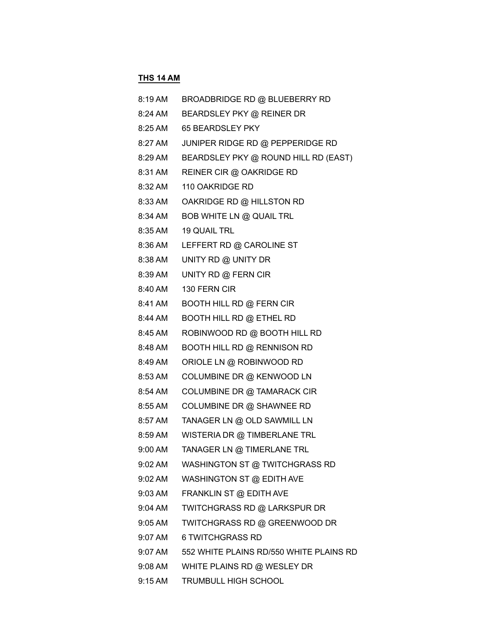# **THS 14 AM**

| 8:19 AM | BROADBRIDGE RD @ BLUEBERRY RD           |
|---------|-----------------------------------------|
| 8:24 AM | BEARDSLEY PKY @ REINER DR               |
| 8:25 AM | 65 BEARDSLEY PKY                        |
| 8:27 AM | JUNIPER RIDGE RD @ PEPPERIDGE RD        |
| 8:29 AM | BEARDSLEY PKY @ ROUND HILL RD (EAST)    |
| 8:31 AM | REINER CIR @ OAKRIDGE RD                |
| 8:32 AM | 110 OAKRIDGE RD                         |
| 8:33 AM | OAKRIDGE RD @ HILLSTON RD               |
| 8:34 AM | BOB WHITE LN @ QUAIL TRL                |
| 8:35 AM | <b>19 QUAIL TRL</b>                     |
| 8:36 AM | LEFFERT RD @ CAROLINE ST                |
| 8:38 AM | UNITY RD @ UNITY DR                     |
| 8:39 AM | UNITY RD @ FERN CIR                     |
| 8:40 AM | 130 FERN CIR                            |
| 8:41 AM | <b>BOOTH HILL RD @ FERN CIR</b>         |
| 8:44 AM | <b>BOOTH HILL RD @ ETHEL RD</b>         |
| 8:45 AM | ROBINWOOD RD @ BOOTH HILL RD            |
| 8:48 AM | <b>BOOTH HILL RD @ RENNISON RD</b>      |
| 8:49 AM | ORIOLE LN @ ROBINWOOD RD                |
| 8:53 AM | COLUMBINE DR @ KENWOOD LN               |
| 8:54 AM | COLUMBINE DR @ TAMARACK CIR             |
| 8:55 AM | COLUMBINE DR @ SHAWNEE RD               |
| 8:57 AM | TANAGER LN @ OLD SAWMILL LN             |
| 8:59 AM | WISTERIA DR @ TIMBERLANE TRL            |
| 9:00 AM | TANAGER LN @ TIMERLANE TRL              |
| 9:02 AM | WASHINGTON ST @ TWITCHGRASS RD          |
| 9:02 AM | WASHINGTON ST @ EDITH AVE               |
| 9:03 AM | FRANKLIN ST @ EDITH AVE                 |
| 9:04 AM | TWITCHGRASS RD @ LARKSPUR DR            |
| 9:05 AM | TWITCHGRASS RD @ GREENWOOD DR           |
| 9:07 AM | <b>6 TWITCHGRASS RD</b>                 |
| 9:07 AM | 552 WHITE PLAINS RD/550 WHITE PLAINS RD |
| 9:08 AM | WHITE PLAINS RD @ WESLEY DR             |
| 9:15 AM | TRUMBULL HIGH SCHOOL                    |
|         |                                         |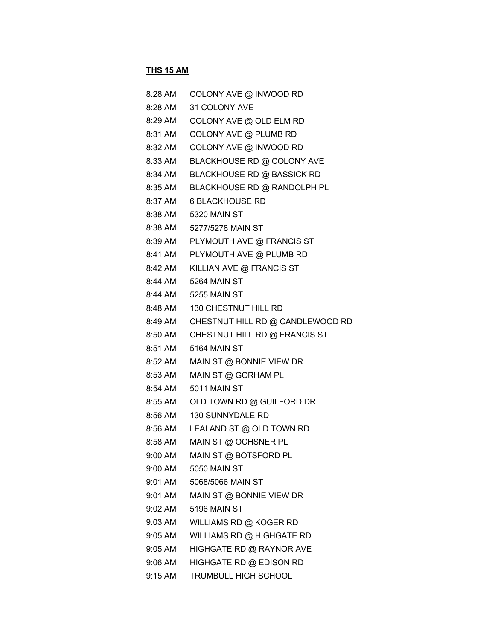## **THS 15 AM**

| 8:28 AM | COLONY AVE @ INWOOD RD            |
|---------|-----------------------------------|
| 8:28 AM | 31 COLONY AVE                     |
| 8:29 AM | COLONY AVE @ OLD ELM RD           |
| 8:31 AM | COLONY AVE @ PLUMB RD             |
| 8:32 AM | COLONY AVE @ INWOOD RD            |
| 8:33 AM | <b>BLACKHOUSE RD @ COLONY AVE</b> |
| 8:34 AM | <b>BLACKHOUSE RD @ BASSICK RD</b> |
| 8:35 AM | BLACKHOUSE RD @ RANDOLPH PL       |
| 8:37 AM | <b>6 BLACKHOUSE RD</b>            |
| 8:38 AM | 5320 MAIN ST                      |
| 8:38 AM | 5277/5278 MAIN ST                 |
| 8:39 AM | PLYMOUTH AVE @ FRANCIS ST         |
| 8:41 AM | PLYMOUTH AVE @ PLUMB RD           |
| 8:42 AM | KILLIAN AVE @ FRANCIS ST          |
| 8:44 AM | 5264 MAIN ST                      |
| 8:44 AM | 5255 MAIN ST                      |
| 8:48 AM | 130 CHESTNUT HILL RD              |
| 8:49 AM | CHESTNUT HILL RD @ CANDLEWOOD RD  |
| 8:50 AM | CHESTNUT HILL RD @ FRANCIS ST     |
| 8:51 AM | 5164 MAIN ST                      |
| 8:52 AM | MAIN ST @ BONNIE VIEW DR          |
| 8:53 AM | MAIN ST @ GORHAM PL               |
| 8:54 AM | <b>5011 MAIN ST</b>               |
| 8:55 AM | OLD TOWN RD @ GUILFORD DR         |
| 8:56 AM | 130 SUNNYDALE RD                  |
| 8:56 AM | LEALAND ST @ OLD TOWN RD          |
| 8:58 AM | MAIN ST @ OCHSNER PL              |
| 9:00 AM | MAIN ST @ BOTSFORD PL             |
| 9:00 AM | <b>5050 MAIN ST</b>               |
| 9:01 AM | 5068/5066 MAIN ST                 |
| 9:01 AM | MAIN ST @ BONNIE VIEW DR          |
| 9:02 AM | 5196 MAIN ST                      |
| 9:03 AM | WILLIAMS RD @ KOGER RD            |
| 9:05 AM | WILLIAMS RD @ HIGHGATE RD         |
| 9:05 AM | HIGHGATE RD @ RAYNOR AVE          |
| 9:06 AM | HIGHGATE RD @ EDISON RD           |
| 9:15 AM | TRUMBULL HIGH SCHOOL              |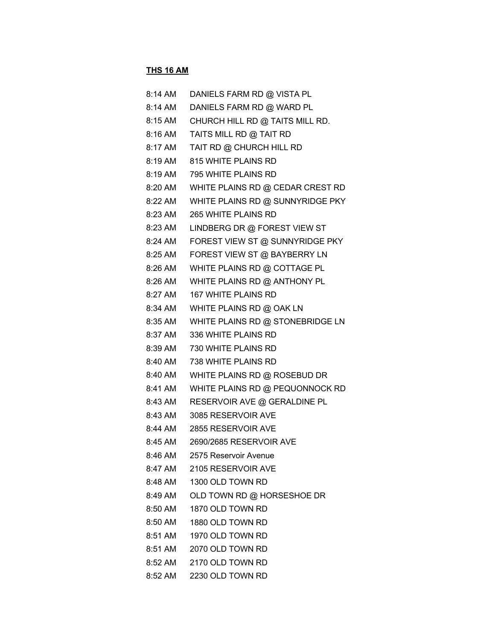#### **THS 16 AM**

| 8:14 AM | DANIELS FARM RD @ VISTA PL       |
|---------|----------------------------------|
| 8:14 AM | DANIELS FARM RD @ WARD PL        |
| 8:15 AM | CHURCH HILL RD @ TAITS MILL RD.  |
| 8:16 AM | TAITS MILL RD @ TAIT RD          |
| 8:17 AM | TAIT RD @ CHURCH HILL RD         |
| 8:19 AM | 815 WHITE PLAINS RD              |
|         | 8:19 AM 795 WHITE PLAINS RD      |
| 8:20 AM | WHITE PLAINS RD @ CEDAR CREST RD |
| 8:22 AM | WHITE PLAINS RD @ SUNNYRIDGE PKY |
| 8:23 AM | 265 WHITE PLAINS RD              |
| 8:23 AM | LINDBERG DR @ FOREST VIEW ST     |
| 8:24 AM | FOREST VIEW ST @ SUNNYRIDGE PKY  |
| 8:25 AM | FOREST VIEW ST @ BAYBERRY LN     |
| 8:26 AM | WHITE PLAINS RD @ COTTAGE PL     |
| 8:26 AM | WHITE PLAINS RD @ ANTHONY PL     |
| 8:27 AM | <b>167 WHITE PLAINS RD</b>       |
| 8:34 AM | WHITE PLAINS RD @ OAK LN         |
| 8:35 AM | WHITE PLAINS RD @ STONEBRIDGE LN |
| 8:37 AM | 336 WHITE PLAINS RD              |
|         | 8:39 AM 730 WHITE PLAINS RD      |
| 8:40 AM | 738 WHITE PLAINS RD              |
| 8:40 AM | WHITE PLAINS RD @ ROSEBUD DR     |
| 8:41 AM | WHITE PLAINS RD @ PEQUONNOCK RD  |
| 8:43 AM | RESERVOIR AVE @ GERALDINE PL     |
| 8:43 AM | 3085 RESERVOIR AVE               |
|         | 8:44 AM 2855 RESERVOIR AVE       |
|         | 8:45 AM 2690/2685 RESERVOIR AVE  |
| 8:46 AM | 2575 Reservoir Avenue            |
| 8:47 AM | 2105 RESERVOIR AVE               |
| 8:48 AM | 1300 OLD TOWN RD                 |
| 8:49 AM | OLD TOWN RD @ HORSESHOE DR       |
| 8:50 AM | 1870 OLD TOWN RD                 |
| 8:50 AM | 1880 OLD TOWN RD                 |
| 8:51 AM | 1970 OLD TOWN RD                 |
| 8:51 AM | 2070 OLD TOWN RD                 |
| 8:52 AM | 2170 OLD TOWN RD                 |
| 8:52 AM | 2230 OLD TOWN RD                 |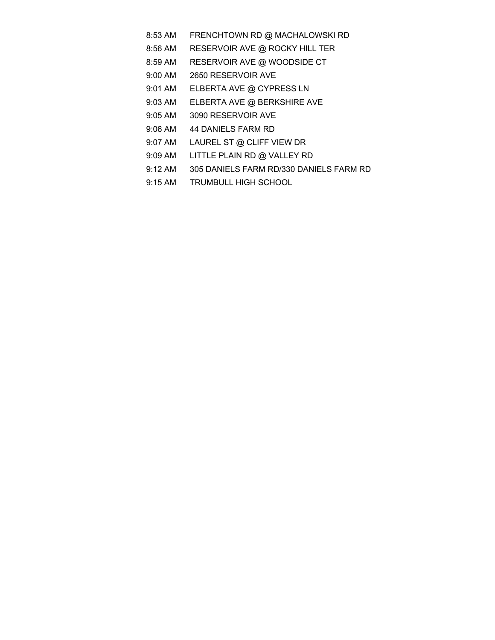- 8:53 AM FRENCHTOWN RD @ MACHALOWSKI RD
- 8:56 AM RESERVOIR AVE @ ROCKY HILL TER
- 8:59 AM RESERVOIR AVE @ WOODSIDE CT
- 9:00 AM 2650 RESERVOIR AVE
- 9:01 AM ELBERTA AVE @ CYPRESS LN
- 9:03 AM ELBERTA AVE @ BERKSHIRE AVE
- 9:05 AM 3090 RESERVOIR AVE
- 9:06 AM 44 DANIELS FARM RD
- 9:07 AM LAUREL ST @ CLIFF VIEW DR
- 9:09 AM LITTLE PLAIN RD @ VALLEY RD
- 9:12 AM 305 DANIELS FARM RD/330 DANIELS FARM RD
- 9:15 AM TRUMBULL HIGH SCHOOL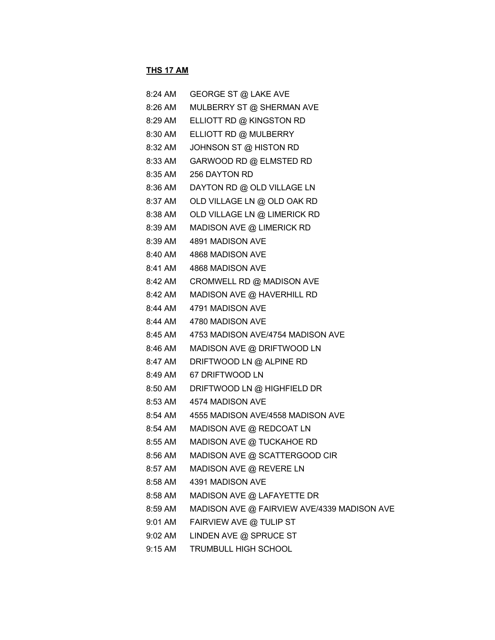## **THS 17 AM**

| 8:24 AM | GEORGE ST @ LAKE AVE                        |
|---------|---------------------------------------------|
| 8:26 AM | MULBERRY ST @ SHERMAN AVE                   |
| 8:29 AM | ELLIOTT RD @ KINGSTON RD                    |
| 8:30 AM | ELLIOTT RD @ MULBERRY                       |
| 8:32 AM | JOHNSON ST @ HISTON RD                      |
| 8:33 AM | GARWOOD RD @ ELMSTED RD                     |
| 8:35 AM | 256 DAYTON RD                               |
| 8:36 AM | DAYTON RD @ OLD VILLAGE LN                  |
| 8:37 AM | OLD VILLAGE LN @ OLD OAK RD                 |
| 8:38 AM | OLD VILLAGE LN @ LIMERICK RD                |
| 8:39 AM | MADISON AVE @ LIMERICK RD                   |
| 8:39 AM | 4891 MADISON AVE                            |
| 8:40 AM | 4868 MADISON AVE                            |
| 8:41 AM | 4868 MADISON AVE                            |
| 8:42 AM | CROMWELL RD @ MADISON AVE                   |
| 8:42 AM | MADISON AVE @ HAVERHILL RD                  |
| 8:44 AM | 4791 MADISON AVE                            |
| 8:44 AM | 4780 MADISON AVE                            |
| 8:45 AM | 4753 MADISON AVE/4754 MADISON AVE           |
| 8:46 AM | MADISON AVE @ DRIFTWOOD LN                  |
| 8:47 AM | DRIFTWOOD LN @ ALPINE RD                    |
| 8:49 AM | 67 DRIFTWOOD LN                             |
| 8:50 AM | DRIFTWOOD LN @ HIGHFIELD DR                 |
| 8:53 AM | 4574 MADISON AVE                            |
| 8:54 AM | 4555 MADISON AVE/4558 MADISON AVE           |
| 8:54 AM | MADISON AVE @ REDCOAT LN                    |
| 8:55 AM | MADISON AVE @ TUCKAHOE RD                   |
| 8:56 AM | MADISON AVE @ SCATTERGOOD CIR               |
| 8:57 AM | MADISON AVE @ REVERE LN                     |
| 8:58 AM | 4391 MADISON AVE                            |
| 8:58 AM | MADISON AVE @ LAFAYETTE DR                  |
| 8:59 AM | MADISON AVE @ FAIRVIEW AVE/4339 MADISON AVE |
| 9:01 AM | FAIRVIEW AVE @ TULIP ST                     |
| 9:02 AM | LINDEN AVE @ SPRUCE ST                      |
| 9:15 AM | TRUMBULL HIGH SCHOOL                        |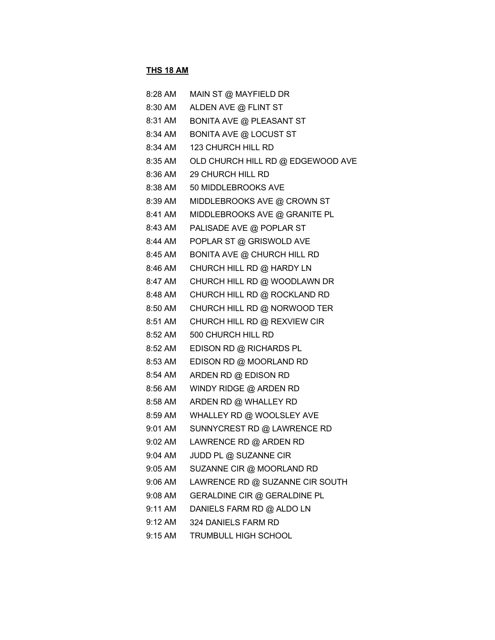## **THS 18 AM**

| 8:28 AM | MAIN ST @ MAYFIELD DR              |
|---------|------------------------------------|
| 8:30 AM | ALDEN AVE @ FLINT ST               |
| 8:31 AM | <b>BONITA AVE @ PLEASANT ST</b>    |
| 8:34 AM | <b>BONITA AVE @ LOCUST ST</b>      |
| 8:34 AM | 123 CHURCH HILL RD                 |
| 8:35 AM | OLD CHURCH HILL RD @ EDGEWOOD AVE  |
| 8:36 AM | 29 CHURCH HILL RD                  |
| 8:38 AM | 50 MIDDLEBROOKS AVE                |
| 8:39 AM | MIDDLEBROOKS AVE @ CROWN ST        |
| 8:41 AM | MIDDLEBROOKS AVE @ GRANITE PL      |
| 8:43 AM | PALISADE AVE @ POPLAR ST           |
| 8:44 AM | POPLAR ST @ GRISWOLD AVE           |
| 8:45 AM | <b>BONITA AVE @ CHURCH HILL RD</b> |
| 8:46 AM | CHURCH HILL RD @ HARDY LN          |
| 8:47 AM | CHURCH HILL RD @ WOODLAWN DR       |
| 8:48 AM | CHURCH HILL RD @ ROCKLAND RD       |
| 8:50 AM | CHURCH HILL RD @ NORWOOD TER       |
| 8:51 AM | CHURCH HILL RD @ REXVIEW CIR       |
| 8:52 AM | 500 CHURCH HILL RD                 |
| 8:52 AM | EDISON RD @ RICHARDS PL            |
| 8:53 AM | EDISON RD @ MOORLAND RD            |
| 8:54 AM | ARDEN RD @ EDISON RD               |
| 8:56 AM | WINDY RIDGE @ ARDEN RD             |
| 8:58 AM | ARDEN RD @ WHALLEY RD              |
| 8:59 AM | WHALLEY RD @ WOOLSLEY AVE          |
| 9:01 AM | SUNNYCREST RD @ LAWRENCE RD        |
| 9:02 AM | LAWRENCE RD @ ARDEN RD             |
| 9:04 AM | JUDD PL @ SUZANNE CIR              |
| 9:05 AM | SUZANNE CIR @ MOORLAND RD          |
| 9:06 AM | LAWRENCE RD @ SUZANNE CIR SOUTH    |
| 9:08 AM | GERALDINE CIR @ GERALDINE PL       |
| 9:11 AM | DANIELS FARM RD @ ALDO LN          |
| 9:12 AM | 324 DANIELS FARM RD                |
| 9:15 AM | TRUMBULL HIGH SCHOOL               |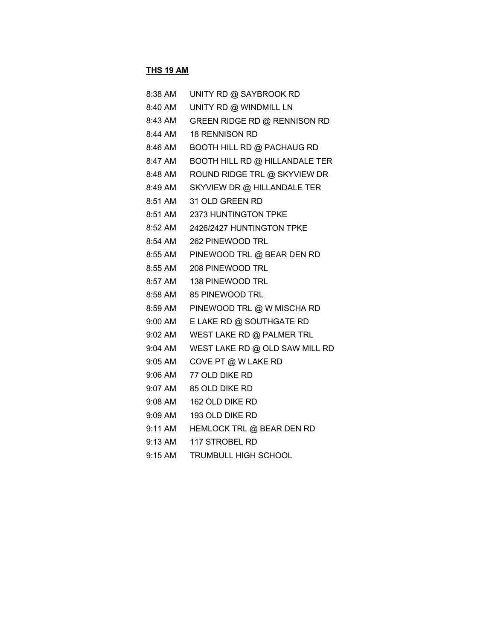## **THS 19 AM**

| 8:38 AM | UNITY RD @ SAYBROOK RD                |
|---------|---------------------------------------|
| 8:40 AM | UNITY RD @ WINDMILL LN                |
| 8:43 AM | GREEN RIDGE RD @ RENNISON RD          |
| 8:44 AM | <b>18 RENNISON RD</b>                 |
| 8:46 AM | <b>BOOTH HILL RD @ PACHAUG RD</b>     |
| 8:47 AM | <b>BOOTH HILL RD @ HILLANDALE TER</b> |
| 8:48 AM | ROUND RIDGE TRL @ SKYVIEW DR          |
| 8:49 AM | SKYVIEW DR @ HILLANDALE TER           |
| 8:51 AM | 31 OLD GREEN RD                       |
| 8:51 AM | 2373 HUNTINGTON TPKE                  |
| 8:52 AM | 2426/2427 HUNTINGTON TPKE             |
| 8:54 AM | 262 PINEWOOD TRL                      |
| 8:55 AM | PINEWOOD TRL @ BEAR DEN RD            |
| 8:55 AM | 208 PINEWOOD TRL                      |
| 8:57 AM | 138 PINEWOOD TRL                      |
| 8:58 AM | 85 PINEWOOD TRL                       |
| 8:59 AM | PINEWOOD TRL @ W MISCHA RD            |
| 9:00 AM | E LAKE RD @ SOUTHGATE RD              |
| 9:02 AM | WEST LAKE RD @ PALMER TRL             |
| 9:04 AM | WEST LAKE RD @ OLD SAW MILL RD        |
| 9:05 AM | COVE PT @ W LAKE RD                   |
| 9:06 AM | 77 OLD DIKE RD                        |
| 9:07 AM | 85 OLD DIKE RD                        |
| 9:08 AM | 162 OLD DIKE RD                       |
| 9:09 AM | 193 OLD DIKE RD                       |
| 9:11 AM | HEMLOCK TRL @ BEAR DEN RD             |
| 9:13 AM | 117 STROBEL RD                        |
| 9:15 AM | TRUMBULL HIGH SCHOOL                  |